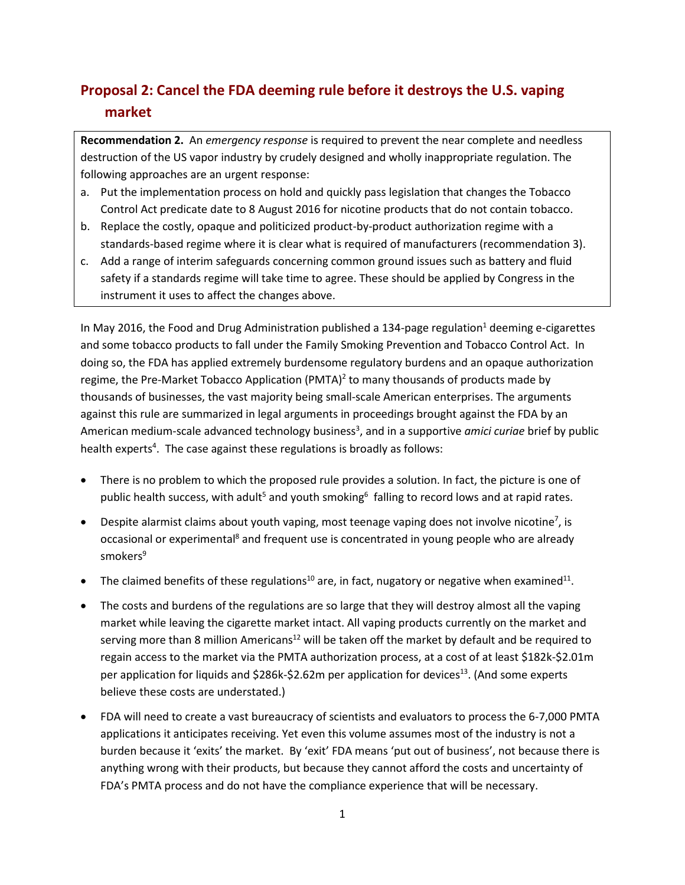## **Proposal 2: Cancel the FDA deeming rule before it destroys the U.S. vaping market**

**Recommendation 2.** An *emergency response* is required to prevent the near complete and needless destruction of the US vapor industry by crudely designed and wholly inappropriate regulation. The following approaches are an urgent response:

- a. Put the implementation process on hold and quickly pass legislation that changes the Tobacco Control Act predicate date to 8 August 2016 for nicotine products that do not contain tobacco.
- b. Replace the costly, opaque and politicized product-by-product authorization regime with a standards-based regime where it is clear what is required of manufacturers (recommendation 3).
- c. Add a range of interim safeguards concerning common ground issues such as battery and fluid safety if a standards regime will take time to agree. These should be applied by Congress in the instrument it uses to affect the changes above.

In May 2016, the Food and Drug Administration published a 134-page regulation<sup>1</sup> deeming e-cigarettes and some tobacco products to fall under the Family Smoking Prevention and Tobacco Control Act. In doing so, the FDA has applied extremely burdensome regulatory burdens and an opaque authorization regime, the Pre-Market Tobacco Application  $(PMTA)^2$  to many thousands of products made by thousands of businesses, the vast majority being small-scale American enterprises. The arguments against this rule are summarized in legal arguments in proceedings brought against the FDA by an American medium-scale advanced technology business<sup>3</sup>, and in a supportive *amici curiae* brief by public health experts<sup>4</sup>. The case against these regulations is broadly as follows:

- There is no problem to which the proposed rule provides a solution. In fact, the picture is one of public health success, with adult<sup>5</sup> and youth smoking<sup>6</sup> falling to record lows and at rapid rates.
- Despite alarmist claims about youth vaping, most teenage vaping does not involve nicotine<sup>7</sup>, is occasional or experimental<sup>8</sup> and frequent use is concentrated in young people who are already smokers<sup>9</sup>
- The claimed benefits of these regulations<sup>10</sup> are, in fact, nugatory or negative when examined<sup>11</sup>.
- The costs and burdens of the regulations are so large that they will destroy almost all the vaping market while leaving the cigarette market intact. All vaping products currently on the market and serving more than 8 million Americans<sup>12</sup> will be taken off the market by default and be required to regain access to the market via the PMTA authorization process, at a cost of at least \$182k-\$2.01m per application for liquids and \$286k-\$2.62m per application for devices<sup>13</sup>. (And some experts believe these costs are understated.)
- FDA will need to create a vast bureaucracy of scientists and evaluators to process the 6-7,000 PMTA applications it anticipates receiving. Yet even this volume assumes most of the industry is not a burden because it 'exits' the market. By 'exit' FDA means 'put out of business', not because there is anything wrong with their products, but because they cannot afford the costs and uncertainty of FDA's PMTA process and do not have the compliance experience that will be necessary.